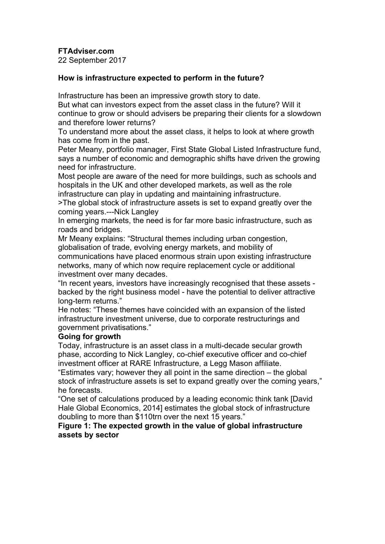**FTAdviser.com**

22 September 2017

## **How is infrastructure expected to perform in the future?**

Infrastructure has been an impressive growth story to date.

But what can investors expect from the asset class in the future? Will it continue to grow or should advisers be preparing their clients for a slowdown and therefore lower returns?

To understand more about the asset class, it helps to look at where growth has come from in the past.

Peter Meany, portfolio manager, First State Global Listed Infrastructure fund, says a number of economic and demographic shifts have driven the growing need for infrastructure.

Most people are aware of the need for more buildings, such as schools and hospitals in the UK and other developed markets, as well as the role infrastructure can play in updating and maintaining infrastructure.

>The global stock of infrastructure assets is set to expand greatly over the coming years.---Nick Langley

In emerging markets, the need is for far more basic infrastructure, such as roads and bridges.

Mr Meany explains: "Structural themes including urban congestion, globalisation of trade, evolving energy markets, and mobility of

communications have placed enormous strain upon existing infrastructure networks, many of which now require replacement cycle or additional investment over many decades.

"In recent years, investors have increasingly recognised that these assets backed by the right business model - have the potential to deliver attractive long-term returns."

He notes: "These themes have coincided with an expansion of the listed infrastructure investment universe, due to corporate restructurings and government privatisations."

# **Going for growth**

Today, infrastructure is an asset class in a multi-decade secular growth phase, according to Nick Langley, co-chief executive officer and co-chief investment officer at RARE Infrastructure, a Legg Mason affiliate.

"Estimates vary; however they all point in the same direction – the global stock of infrastructure assets is set to expand greatly over the coming years," he forecasts.

"One set of calculations produced by a leading economic think tank [David Hale Global Economics, 2014] estimates the global stock of infrastructure doubling to more than \$110trn over the next 15 years."

### **Figure 1: The expected growth in the value of global infrastructure assets by sector**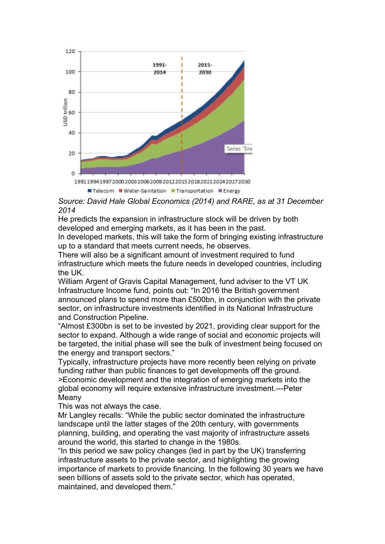

*Source: David Hale Global Economics (2014) and RARE, as at 31 December 2014*

He predicts the expansion in infrastructure stock will be driven by both developed and emerging markets, as it has been in the past.

In developed markets, this will take the form of bringing existing infrastructure up to a standard that meets current needs, he observes.

There will also be a significant amount of investment required to fund infrastructure which meets the future needs in developed countries, including the UK.

William Argent of Gravis Capital Management, fund adviser to the VT UK Infrastructure Income fund, points out: "In 2016 the British government announced plans to spend more than £500bn, in conjunction with the private sector, on infrastructure investments identified in its National Infrastructure and Construction Pipeline.

"Almost £300bn is set to be invested by 2021, providing clear support for the sector to expand. Although a wide range of social and economic projects will be targeted, the initial phase will see the bulk of investment being focused on the energy and transport sectors."

Typically, infrastructure projects have more recently been relying on private funding rather than public finances to get developments off the ground. >Economic development and the integration of emerging markets into the global economy will require extensive infrastructure investment.---Peter Meany

This was not always the case.

Mr Langley recalls: "While the public sector dominated the infrastructure landscape until the latter stages of the 20th century, with governments planning, building, and operating the vast majority of infrastructure assets around the world, this started to change in the 1980s.

"In this period we saw policy changes (led in part by the UK) transferring infrastructure assets to the private sector, and highlighting the growing importance of markets to provide financing. In the following 30 years we have seen billions of assets sold to the private sector, which has operated, maintained, and developed them."